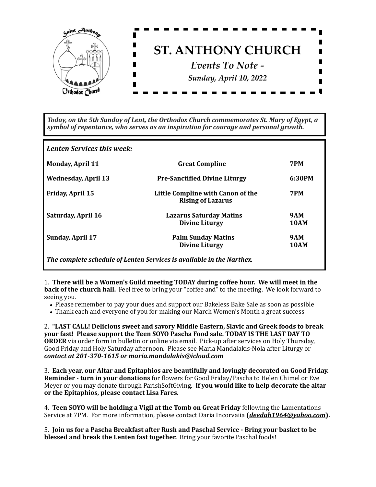

Today, on the 5th Sunday of Lent, the Orthodox Church commemorates St. Mary of Egypt, a *symbol of repentance, who serves as an inspiration for courage and personal growth.* 

Lenten Services this week:

| <b>Monday, April 11</b>    | <b>Great Compline</b>                                                 | 7PM                       |
|----------------------------|-----------------------------------------------------------------------|---------------------------|
| <b>Wednesday, April 13</b> | <b>Pre-Sanctified Divine Liturgy</b>                                  | 6:30PM                    |
| <b>Friday, April 15</b>    | Little Compline with Canon of the<br><b>Rising of Lazarus</b>         | 7PM                       |
| <b>Saturday, April 16</b>  | <b>Lazarus Saturday Matins</b><br><b>Divine Liturgy</b>               | <b>9AM</b><br><b>10AM</b> |
| <b>Sunday, April 17</b>    | <b>Palm Sunday Matins</b><br><b>Divine Liturgy</b>                    | <b>9AM</b><br>10AM        |
|                            | The complete schedule of Lenten Services is available in the Narthex. |                           |

1. There will be a Women's Guild meeting TODAY during coffee hour. We will meet in the **back of the church hall.** Feel free to bring your "coffee and" to the meeting. We look forward to seeing you.

- Please remember to pay your dues and support our Bakeless Bake Sale as soon as possible
- Thank each and everyone of you for making our March Women's Month a great success

2. "LAST CALL! Delicious sweet and savory Middle Eastern, Slavic and Greek foods to break your fast! Please support the Teen SOYO Pascha Food sale. TODAY IS THE LAST DAY TO **ORDER** via order form in bulletin or online via email. Pick-up after services on Holy Thursday, Good Friday and Holy Saturday afternoon. Please see Maria Mandalakis-Nola after Liturgy or *contact at 201-370-1615 or maria.mandalakis@icloud.com* 

3. Each year, our Altar and Epitaphios are beautifully and lovingly decorated on Good Friday. **Reminder - turn in your donations** for flowers for Good Friday/Pascha to Helen Chimel or Eve Meyer or you may donate through ParishSoftGiving. If you would like to help decorate the altar or the Epitaphios, please contact Lisa Fares.

4. **Teen SOYO will be holding a Vigil at the Tomb on Great Friday** following the Lamentations Service at 7PM. For more information, please contact Daria Incorvaiia (*[deedah1964@yahoo.com](mailto:deedah1964@yahoo.com)*).

5. **Join us for a Pascha Breakfast after Rush and Paschal Service - Bring your basket to be blessed and break the Lenten fast together.** Bring your favorite Paschal foods!